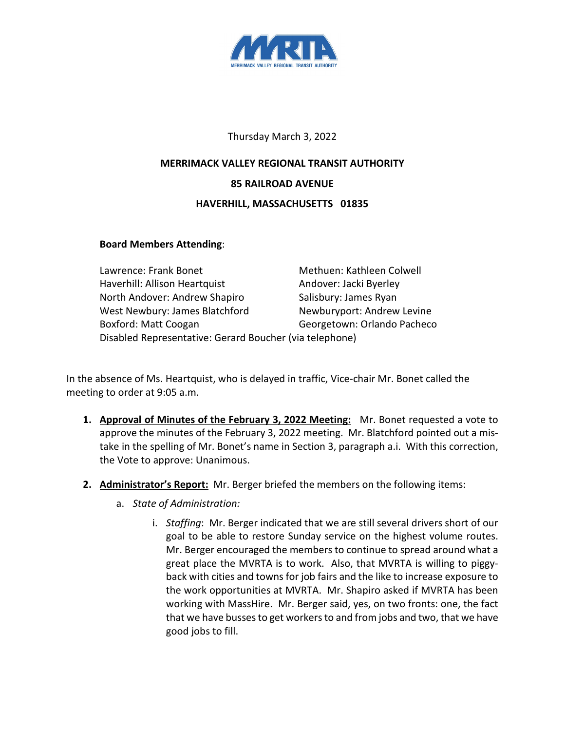

## Thursday March 3, 2022

## **MERRIMACK VALLEY REGIONAL TRANSIT AUTHORITY 85 RAILROAD AVENUE HAVERHILL, MASSACHUSETTS 01835**

## **Board Members Attending**:

| Lawrence: Frank Bonet                                   | Methuen: Kathleen Colwell   |
|---------------------------------------------------------|-----------------------------|
| Haverhill: Allison Heartquist                           | Andover: Jacki Byerley      |
| North Andover: Andrew Shapiro                           | Salisbury: James Ryan       |
| West Newbury: James Blatchford                          | Newburyport: Andrew Levine  |
| Boxford: Matt Coogan                                    | Georgetown: Orlando Pacheco |
| Disabled Representative: Gerard Boucher (via telephone) |                             |

In the absence of Ms. Heartquist, who is delayed in traffic, Vice-chair Mr. Bonet called the meeting to order at 9:05 a.m.

- **1. Approval of Minutes of the February 3, 2022 Meeting:** Mr. Bonet requested a vote to approve the minutes of the February 3, 2022 meeting. Mr. Blatchford pointed out a mistake in the spelling of Mr. Bonet's name in Section 3, paragraph a.i. With this correction, the Vote to approve: Unanimous.
- **2. Administrator's Report:** Mr. Berger briefed the members on the following items:
	- a. *State of Administration:*
		- i. *Staffing*: Mr. Berger indicated that we are still several drivers short of our goal to be able to restore Sunday service on the highest volume routes. Mr. Berger encouraged the members to continue to spread around what a great place the MVRTA is to work. Also, that MVRTA is willing to piggyback with cities and towns for job fairs and the like to increase exposure to the work opportunities at MVRTA. Mr. Shapiro asked if MVRTA has been working with MassHire. Mr. Berger said, yes, on two fronts: one, the fact that we have busses to get workers to and from jobs and two, that we have good jobs to fill.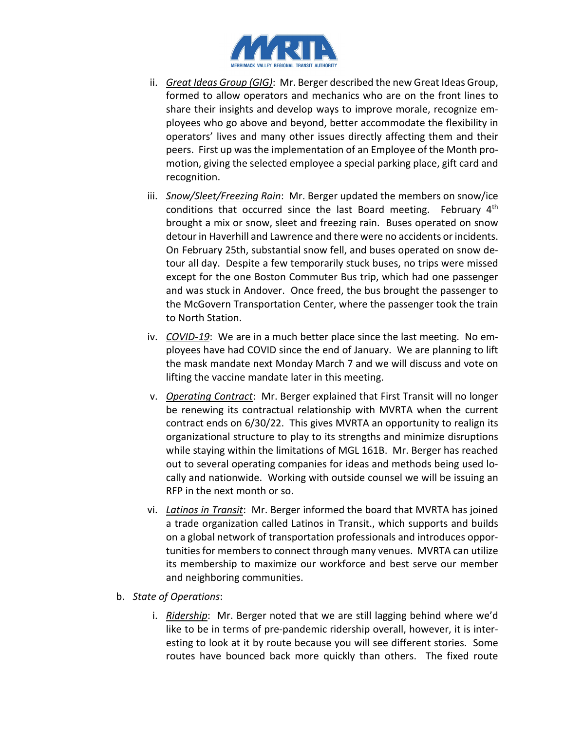

- ii. *Great Ideas Group (GIG)*: Mr. Berger described the new Great Ideas Group, formed to allow operators and mechanics who are on the front lines to share their insights and develop ways to improve morale, recognize employees who go above and beyond, better accommodate the flexibility in operators' lives and many other issues directly affecting them and their peers. First up was the implementation of an Employee of the Month promotion, giving the selected employee a special parking place, gift card and recognition.
- iii. *Snow/Sleet/Freezing Rain*: Mr. Berger updated the members on snow/ice conditions that occurred since the last Board meeting. February 4<sup>th</sup> brought a mix or snow, sleet and freezing rain. Buses operated on snow detour in Haverhill and Lawrence and there were no accidents or incidents. On February 25th, substantial snow fell, and buses operated on snow detour all day. Despite a few temporarily stuck buses, no trips were missed except for the one Boston Commuter Bus trip, which had one passenger and was stuck in Andover. Once freed, the bus brought the passenger to the McGovern Transportation Center, where the passenger took the train to North Station.
- iv. *COVID-19*: We are in a much better place since the last meeting. No employees have had COVID since the end of January. We are planning to lift the mask mandate next Monday March 7 and we will discuss and vote on lifting the vaccine mandate later in this meeting.
- v. *Operating Contract*: Mr. Berger explained that First Transit will no longer be renewing its contractual relationship with MVRTA when the current contract ends on 6/30/22. This gives MVRTA an opportunity to realign its organizational structure to play to its strengths and minimize disruptions while staying within the limitations of MGL 161B. Mr. Berger has reached out to several operating companies for ideas and methods being used locally and nationwide. Working with outside counsel we will be issuing an RFP in the next month or so.
- vi. *Latinos in Transit*: Mr. Berger informed the board that MVRTA has joined a trade organization called Latinos in Transit., which supports and builds on a global network of transportation professionals and introduces opportunities for members to connect through many venues. MVRTA can utilize its membership to maximize our workforce and best serve our member and neighboring communities.
- b. *State of Operations*:
	- i. *Ridership*: Mr. Berger noted that we are still lagging behind where we'd like to be in terms of pre-pandemic ridership overall, however, it is interesting to look at it by route because you will see different stories. Some routes have bounced back more quickly than others. The fixed route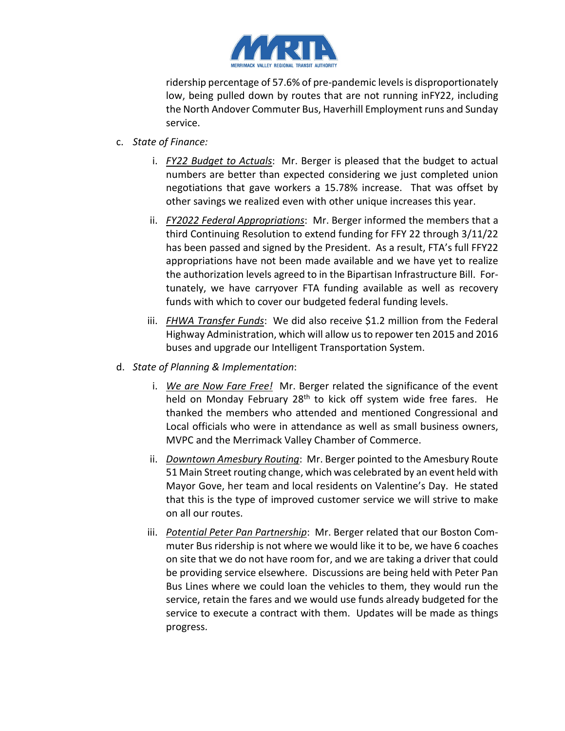

ridership percentage of 57.6% of pre-pandemic levels is disproportionately low, being pulled down by routes that are not running inFY22, including the North Andover Commuter Bus, Haverhill Employment runs and Sunday service.

- c. *State of Finance:*
	- i. *FY22 Budget to Actuals*: Mr. Berger is pleased that the budget to actual numbers are better than expected considering we just completed union negotiations that gave workers a 15.78% increase. That was offset by other savings we realized even with other unique increases this year.
	- ii. *FY2022 Federal Appropriations*: Mr. Berger informed the members that a third Continuing Resolution to extend funding for FFY 22 through 3/11/22 has been passed and signed by the President. As a result, FTA's full FFY22 appropriations have not been made available and we have yet to realize the authorization levels agreed to in the Bipartisan Infrastructure Bill. Fortunately, we have carryover FTA funding available as well as recovery funds with which to cover our budgeted federal funding levels.
	- iii. *FHWA Transfer Funds*: We did also receive \$1.2 million from the Federal Highway Administration, which will allow us to repower ten 2015 and 2016 buses and upgrade our Intelligent Transportation System.
- d. *State of Planning & Implementation*:
	- i. *We are Now Fare Free!* Mr. Berger related the significance of the event held on Monday February 28<sup>th</sup> to kick off system wide free fares. He thanked the members who attended and mentioned Congressional and Local officials who were in attendance as well as small business owners, MVPC and the Merrimack Valley Chamber of Commerce.
	- ii. *Downtown Amesbury Routing*: Mr. Berger pointed to the Amesbury Route 51 Main Street routing change, which was celebrated by an event held with Mayor Gove, her team and local residents on Valentine's Day. He stated that this is the type of improved customer service we will strive to make on all our routes.
	- iii. *Potential Peter Pan Partnership*: Mr. Berger related that our Boston Commuter Bus ridership is not where we would like it to be, we have 6 coaches on site that we do not have room for, and we are taking a driver that could be providing service elsewhere. Discussions are being held with Peter Pan Bus Lines where we could loan the vehicles to them, they would run the service, retain the fares and we would use funds already budgeted for the service to execute a contract with them. Updates will be made as things progress.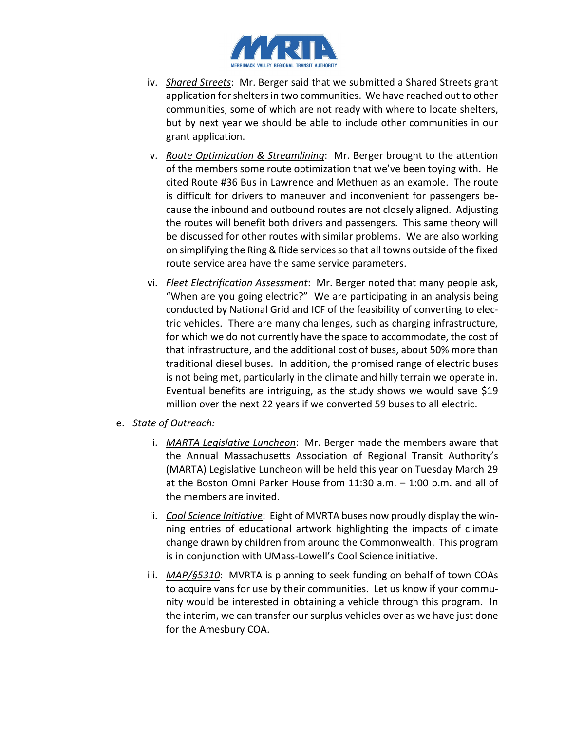

- iv. *Shared Streets*: Mr. Berger said that we submitted a Shared Streets grant application for shelters in two communities. We have reached out to other communities, some of which are not ready with where to locate shelters, but by next year we should be able to include other communities in our grant application.
- v. *Route Optimization & Streamlining*: Mr. Berger brought to the attention of the members some route optimization that we've been toying with. He cited Route #36 Bus in Lawrence and Methuen as an example. The route is difficult for drivers to maneuver and inconvenient for passengers because the inbound and outbound routes are not closely aligned. Adjusting the routes will benefit both drivers and passengers. This same theory will be discussed for other routes with similar problems. We are also working on simplifying the Ring & Ride services so that all towns outside of the fixed route service area have the same service parameters.
- vi. *Fleet Electrification Assessment*: Mr. Berger noted that many people ask, "When are you going electric?" We are participating in an analysis being conducted by National Grid and ICF of the feasibility of converting to electric vehicles. There are many challenges, such as charging infrastructure, for which we do not currently have the space to accommodate, the cost of that infrastructure, and the additional cost of buses, about 50% more than traditional diesel buses. In addition, the promised range of electric buses is not being met, particularly in the climate and hilly terrain we operate in. Eventual benefits are intriguing, as the study shows we would save \$19 million over the next 22 years if we converted 59 buses to all electric.
- e. *State of Outreach:*
	- i. *MARTA Legislative Luncheon*: Mr. Berger made the members aware that the Annual Massachusetts Association of Regional Transit Authority's (MARTA) Legislative Luncheon will be held this year on Tuesday March 29 at the Boston Omni Parker House from 11:30 a.m. – 1:00 p.m. and all of the members are invited.
	- ii. *Cool Science Initiative*: Eight of MVRTA buses now proudly display the winning entries of educational artwork highlighting the impacts of climate change drawn by children from around the Commonwealth. This program is in conjunction with UMass-Lowell's Cool Science initiative.
	- iii. *MAP/§5310*: MVRTA is planning to seek funding on behalf of town COAs to acquire vans for use by their communities. Let us know if your community would be interested in obtaining a vehicle through this program. In the interim, we can transfer our surplus vehicles over as we have just done for the Amesbury COA.